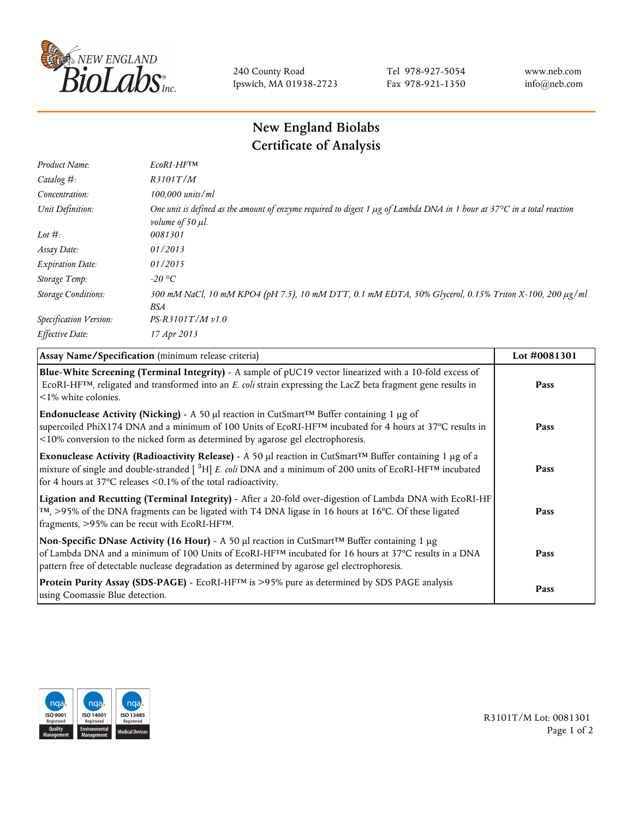

240 County Road Ipswich, MA 01938-2723 Tel 978-927-5054 Fax 978-921-1350 www.neb.com info@neb.com

## **New England Biolabs Certificate of Analysis**

| Product Name:              | EcoRI-HFTM                                                                                                                                                                       |
|----------------------------|----------------------------------------------------------------------------------------------------------------------------------------------------------------------------------|
| Catalog #:                 | R3101T/M                                                                                                                                                                         |
| Concentration:             | 100,000 units/ml                                                                                                                                                                 |
| Unit Definition:           | One unit is defined as the amount of enzyme required to digest 1 $\mu$ g of Lambda DNA in 1 hour at 37 $\degree$ C in a total reaction<br><i>volume of 50 <math>\mu</math>l.</i> |
| Lot $#$ :                  | 0081301                                                                                                                                                                          |
| Assay Date:                | 01/2013                                                                                                                                                                          |
| <b>Expiration Date:</b>    | 01/2015                                                                                                                                                                          |
| Storage Temp:              | $-20\text{ °C}$                                                                                                                                                                  |
| <b>Storage Conditions:</b> | 300 mM NaCl, 10 mM KPO4 (pH 7.5), 10 mM DTT, 0.1 mM EDTA, 50% Glycerol, 0.15% Triton X-100, 200 µg/ml<br>BSA                                                                     |
| Specification Version:     | $PS-R3101T/Mv1.0$                                                                                                                                                                |
| Effective Date:            | 17 Apr 2013                                                                                                                                                                      |

| Assay Name/Specification (minimum release criteria)                                                                                                                                                                                                                                                                                         | Lot #0081301 |
|---------------------------------------------------------------------------------------------------------------------------------------------------------------------------------------------------------------------------------------------------------------------------------------------------------------------------------------------|--------------|
| Blue-White Screening (Terminal Integrity) - A sample of pUC19 vector linearized with a 10-fold excess of<br>ECORI-HFTM, religated and transformed into an E. coli strain expressing the LacZ beta fragment gene results in<br>$\leq$ 1% white colonies.                                                                                     | Pass         |
| Endonuclease Activity (Nicking) - A 50 µl reaction in CutSmart™ Buffer containing 1 µg of<br>supercoiled PhiX174 DNA and a minimum of 100 Units of EcoRI-HFTM incubated for 4 hours at 37°C results in<br><10% conversion to the nicked form as determined by agarose gel electrophoresis.                                                  | Pass         |
| Exonuclease Activity (Radioactivity Release) - A 50 µl reaction in CutSmart™ Buffer containing 1 µg of a<br>mixture of single and double-stranded $\left[$ <sup>3</sup> H $\right]$ E. coli DNA and a minimum of 200 units of EcoRI-HF <sup>TM</sup> incubated<br>for 4 hours at 37 $^{\circ}$ C releases <0.1% of the total radioactivity. | Pass         |
| Ligation and Recutting (Terminal Integrity) - After a 20-fold over-digestion of Lambda DNA with EcoRI-HF<br>TM, >95% of the DNA fragments can be ligated with T4 DNA ligase in 16 hours at 16°C. Of these ligated<br>fragments, >95% can be recut with EcoRI-HFTM.                                                                          | Pass         |
| Non-Specific DNase Activity (16 Hour) - A 50 µl reaction in CutSmart™ Buffer containing 1 µg<br>of Lambda DNA and a minimum of 100 Units of EcoRI-HFTM incubated for 16 hours at 37°C results in a DNA<br>pattern free of detectable nuclease degradation as determined by agarose gel electrophoresis.                                     | Pass         |
| Protein Purity Assay (SDS-PAGE) - EcoRI-HF™ is >95% pure as determined by SDS PAGE analysis<br>using Coomassie Blue detection.                                                                                                                                                                                                              | Pass         |



R3101T/M Lot: 0081301 Page 1 of 2